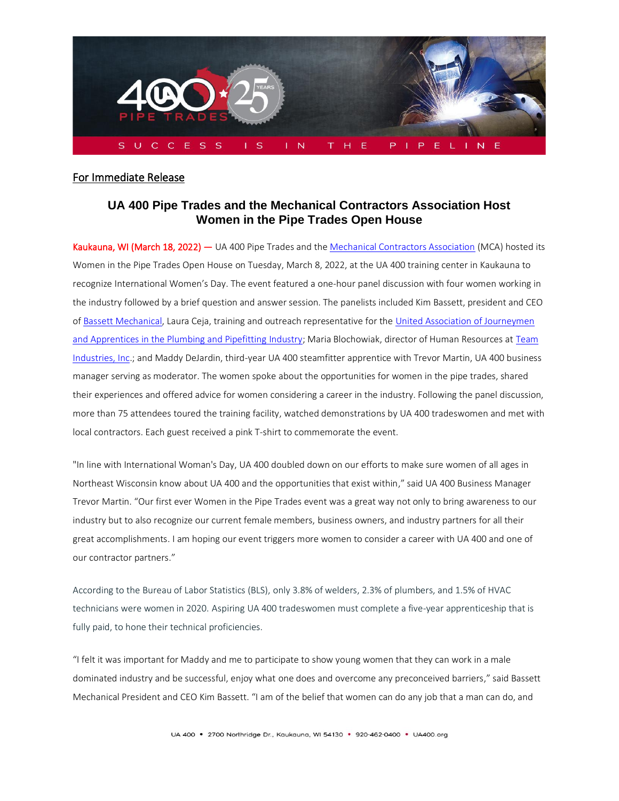

## For Immediate Release

## **UA 400 Pipe Trades and the Mechanical Contractors Association Host Women in the Pipe Trades Open House**

Kaukauna, WI (March 18, 2022) — UA 400 Pipe Trades and th[e Mechanical Contractors Association](https://www.mcaa.org/who-we-are/about-mcaa/) (MCA) hosted its Women in the Pipe Trades Open House on Tuesday, March 8, 2022, at the UA 400 training center in Kaukauna to recognize International Women's Day. The event featured a one-hour panel discussion with four women working in the industry followed by a brief question and answer session. The panelists included Kim Bassett, president and CEO o[f Bassett Mechanical,](https://www.bassettmechanical.com/) Laura Ceja, training and outreach representative for the [United Association](https://ua.org/join-the-ua/career-paths/) of Journeymen [and Apprentices in the Plumbing and Pipefitting Industry;](https://ua.org/join-the-ua/career-paths/) Maria Blochowiak, director of Human Resources at [Team](https://www.teamind.com/)  [Industries, Inc.](https://www.teamind.com/); and Maddy DeJardin, third-year UA 400 steamfitter apprentice with Trevor Martin, UA 400 business manager serving as moderator. The women spoke about the opportunities for women in the pipe trades, shared their experiences and offered advice for women considering a career in the industry. Following the panel discussion, more than 75 attendees toured the training facility, watched demonstrations by UA 400 tradeswomen and met with local contractors. Each guest received a pink T-shirt to commemorate the event.

"In line with International Woman's Day, UA 400 doubled down on our efforts to make sure women of all ages in Northeast Wisconsin know about UA 400 and the opportunities that exist within," said UA 400 Business Manager Trevor Martin. "Our first ever Women in the Pipe Trades event was a great way not only to bring awareness to our industry but to also recognize our current female members, business owners, and industry partners for all their great accomplishments. I am hoping our event triggers more women to consider a career with UA 400 and one of our contractor partners."

According to the Bureau of Labor Statistics (BLS), only 3.8% of welders, 2.3% of plumbers, and 1.5% of HVAC technicians were women in 2020. Aspiring UA 400 tradeswomen must complete a five-year apprenticeship that is fully paid, to hone their technical proficiencies.

"I felt it was important for Maddy and me to participate to show young women that they can work in a male dominated industry and be successful, enjoy what one does and overcome any preconceived barriers," said Bassett Mechanical President and CEO Kim Bassett. "I am of the belief that women can do any job that a man can do, and